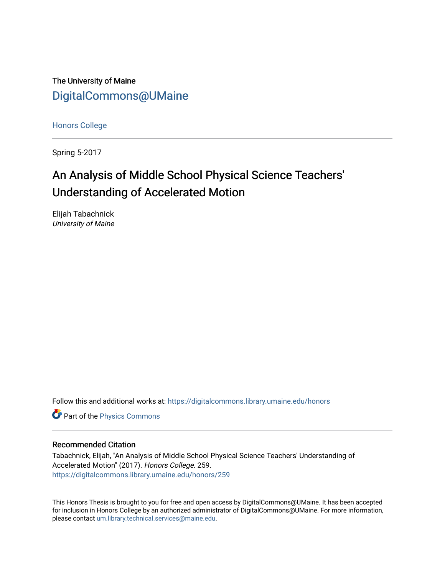The University of Maine [DigitalCommons@UMaine](https://digitalcommons.library.umaine.edu/)

[Honors College](https://digitalcommons.library.umaine.edu/honors)

Spring 5-2017

# An Analysis of Middle School Physical Science Teachers' Understanding of Accelerated Motion

Elijah Tabachnick University of Maine

Follow this and additional works at: [https://digitalcommons.library.umaine.edu/honors](https://digitalcommons.library.umaine.edu/honors?utm_source=digitalcommons.library.umaine.edu%2Fhonors%2F259&utm_medium=PDF&utm_campaign=PDFCoverPages) 

**Part of the [Physics Commons](http://network.bepress.com/hgg/discipline/193?utm_source=digitalcommons.library.umaine.edu%2Fhonors%2F259&utm_medium=PDF&utm_campaign=PDFCoverPages)** 

### Recommended Citation

Tabachnick, Elijah, "An Analysis of Middle School Physical Science Teachers' Understanding of Accelerated Motion" (2017). Honors College. 259. [https://digitalcommons.library.umaine.edu/honors/259](https://digitalcommons.library.umaine.edu/honors/259?utm_source=digitalcommons.library.umaine.edu%2Fhonors%2F259&utm_medium=PDF&utm_campaign=PDFCoverPages) 

This Honors Thesis is brought to you for free and open access by DigitalCommons@UMaine. It has been accepted for inclusion in Honors College by an authorized administrator of DigitalCommons@UMaine. For more information, please contact [um.library.technical.services@maine.edu.](mailto:um.library.technical.services@maine.edu)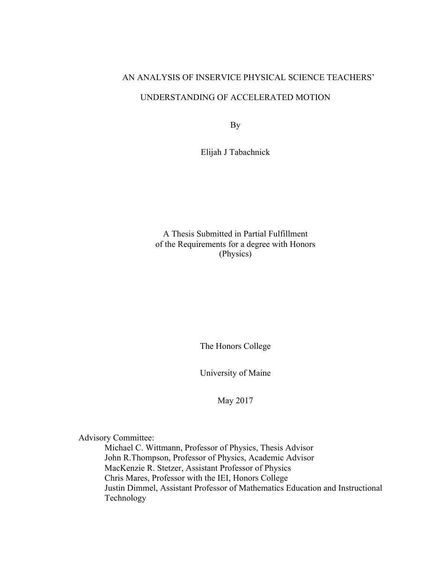# AN ANALYSIS OF INSERVICE PHYSICAL SCIENCE TEACHERS' UNDERSTANDING OF ACCELERATED MOTION

By

Elijah J Tabachnick

A Thesis Submitted in Partial Fulfillment of the Requirements for a degree with Honors (Physics)

The Honors College

University of Maine

May 2017

Advisory Committee:

Michael C. Wittmann, Professor of Physics, Thesis Advisor John R.Thompson, Professor of Physics, Academic Advisor MacKenzie R. Stetzer, Assistant Professor of Physics Chris Mares, Professor with the IEI, Honors College Justin Dimmel, Assistant Professor of Mathematics Education and Instructional Technology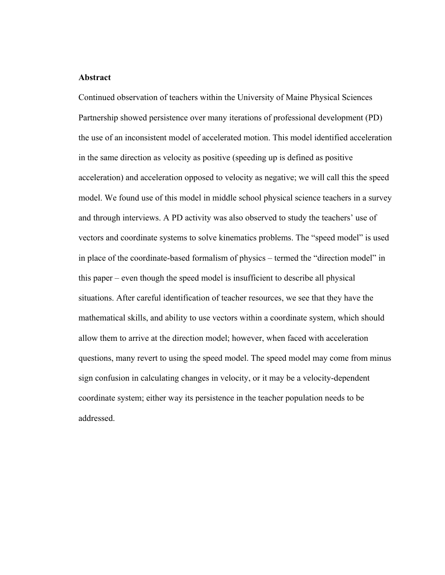### **Abstract**

Continued observation of teachers within the University of Maine Physical Sciences Partnership showed persistence over many iterations of professional development (PD) the use of an inconsistent model of accelerated motion. This model identified acceleration in the same direction as velocity as positive (speeding up is defined as positive acceleration) and acceleration opposed to velocity as negative; we will call this the speed model. We found use of this model in middle school physical science teachers in a survey and through interviews. A PD activity was also observed to study the teachers' use of vectors and coordinate systems to solve kinematics problems. The "speed model" is used in place of the coordinate-based formalism of physics – termed the "direction model" in this paper – even though the speed model is insufficient to describe all physical situations. After careful identification of teacher resources, we see that they have the mathematical skills, and ability to use vectors within a coordinate system, which should allow them to arrive at the direction model; however, when faced with acceleration questions, many revert to using the speed model. The speed model may come from minus sign confusion in calculating changes in velocity, or it may be a velocity-dependent coordinate system; either way its persistence in the teacher population needs to be addressed.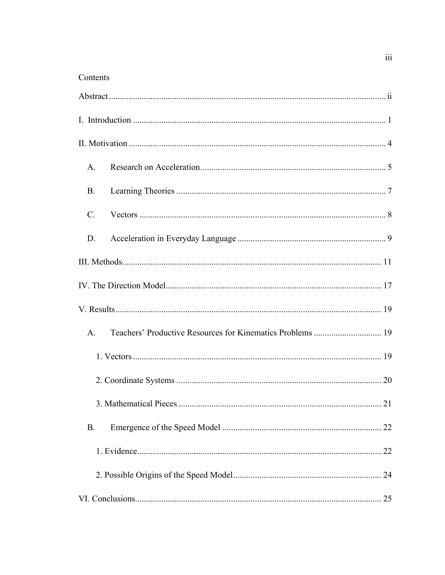## Contents

| A.              |  |
|-----------------|--|
| <b>B.</b>       |  |
| $\mathcal{C}$ . |  |
| D.              |  |
|                 |  |
|                 |  |
|                 |  |
| $A_{\cdot}$     |  |
|                 |  |
|                 |  |
|                 |  |
| <b>B.</b>       |  |
|                 |  |
|                 |  |
|                 |  |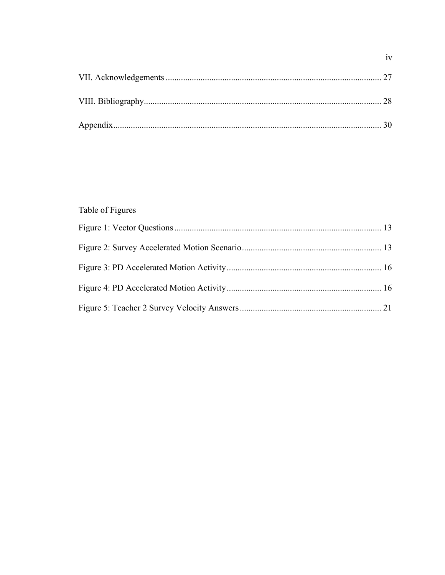# Table of Figures

# $iv$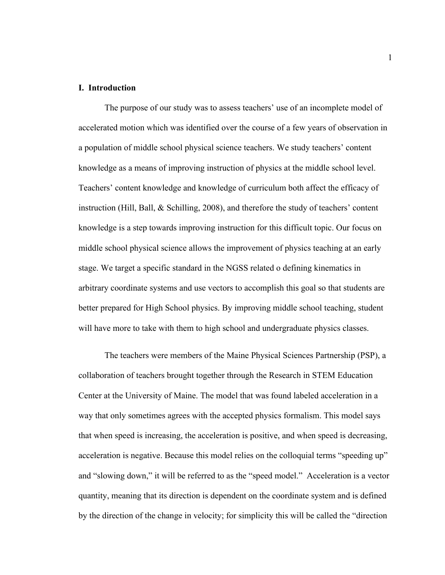#### **I. Introduction**

The purpose of our study was to assess teachers' use of an incomplete model of accelerated motion which was identified over the course of a few years of observation in a population of middle school physical science teachers. We study teachers' content knowledge as a means of improving instruction of physics at the middle school level. Teachers' content knowledge and knowledge of curriculum both affect the efficacy of instruction (Hill, Ball, & Schilling, 2008), and therefore the study of teachers' content knowledge is a step towards improving instruction for this difficult topic. Our focus on middle school physical science allows the improvement of physics teaching at an early stage. We target a specific standard in the NGSS related o defining kinematics in arbitrary coordinate systems and use vectors to accomplish this goal so that students are better prepared for High School physics. By improving middle school teaching, student will have more to take with them to high school and undergraduate physics classes.

The teachers were members of the Maine Physical Sciences Partnership (PSP), a collaboration of teachers brought together through the Research in STEM Education Center at the University of Maine. The model that was found labeled acceleration in a way that only sometimes agrees with the accepted physics formalism. This model says that when speed is increasing, the acceleration is positive, and when speed is decreasing, acceleration is negative. Because this model relies on the colloquial terms "speeding up" and "slowing down," it will be referred to as the "speed model." Acceleration is a vector quantity, meaning that its direction is dependent on the coordinate system and is defined by the direction of the change in velocity; for simplicity this will be called the "direction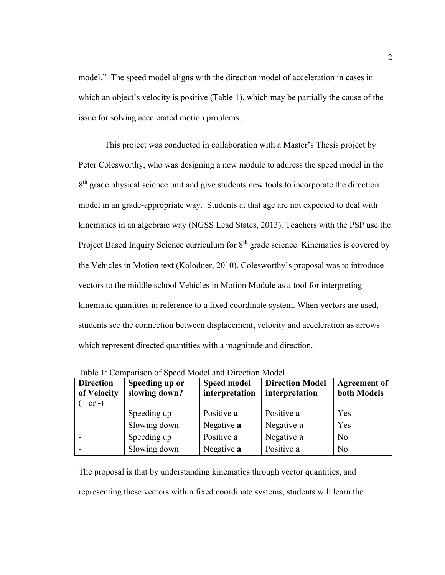model." The speed model aligns with the direction model of acceleration in cases in which an object's velocity is positive (Table 1), which may be partially the cause of the issue for solving accelerated motion problems.

This project was conducted in collaboration with a Master's Thesis project by Peter Colesworthy, who was designing a new module to address the speed model in the  $8<sup>th</sup>$  grade physical science unit and give students new tools to incorporate the direction model in an grade-appropriate way. Students at that age are not expected to deal with kinematics in an algebraic way (NGSS Lead States, 2013). Teachers with the PSP use the Project Based Inquiry Science curriculum for 8<sup>th</sup> grade science. Kinematics is covered by the Vehicles in Motion text (Kolodner, 2010). Colesworthy's proposal was to introduce vectors to the middle school Vehicles in Motion Module as a tool for interpreting kinematic quantities in reference to a fixed coordinate system. When vectors are used, students see the connection between displacement, velocity and acceleration as arrows which represent directed quantities with a magnitude and direction.

| <b>Direction</b><br>of Velocity<br>$(+ or -)$ | Speeding up or<br>slowing down? | <b>Speed model</b><br>interpretation | <b>Direction Model</b><br>interpretation | <b>Agreement of</b><br>both Models |
|-----------------------------------------------|---------------------------------|--------------------------------------|------------------------------------------|------------------------------------|
|                                               | Speeding up                     | Positive a                           | Positive a                               | Yes                                |
|                                               | Slowing down                    | Negative a                           | Negative a                               | Yes                                |
|                                               | Speeding up                     | Positive a                           | Negative a                               | N <sub>0</sub>                     |
|                                               | Slowing down                    | Negative a                           | Positive a                               | N <sub>0</sub>                     |

Table 1: Comparison of Speed Model and Direction Model

The proposal is that by understanding kinematics through vector quantities, and representing these vectors within fixed coordinate systems, students will learn the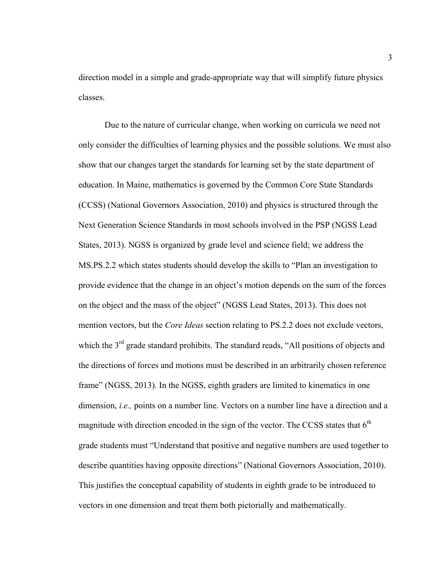direction model in a simple and grade-appropriate way that will simplify future physics classes.

Due to the nature of curricular change, when working on curricula we need not only consider the difficulties of learning physics and the possible solutions. We must also show that our changes target the standards for learning set by the state department of education. In Maine, mathematics is governed by the Common Core State Standards (CCSS) (National Governors Association, 2010) and physics is structured through the Next Generation Science Standards in most schools involved in the PSP (NGSS Lead States, 2013). NGSS is organized by grade level and science field; we address the MS.PS.2.2 which states students should develop the skills to "Plan an investigation to provide evidence that the change in an object's motion depends on the sum of the forces on the object and the mass of the object" (NGSS Lead States, 2013). This does not mention vectors, but the *Core Ideas* section relating to PS.2.2 does not exclude vectors, which the 3<sup>rd</sup> grade standard prohibits. The standard reads, "All positions of objects and the directions of forces and motions must be described in an arbitrarily chosen reference frame" (NGSS, 2013). In the NGSS, eighth graders are limited to kinematics in one dimension, *i.e.,* points on a number line. Vectors on a number line have a direction and a magnitude with direction encoded in the sign of the vector. The CCSS states that  $6<sup>th</sup>$ grade students must "Understand that positive and negative numbers are used together to describe quantities having opposite directions" (National Governors Association, 2010). This justifies the conceptual capability of students in eighth grade to be introduced to vectors in one dimension and treat them both pictorially and mathematically.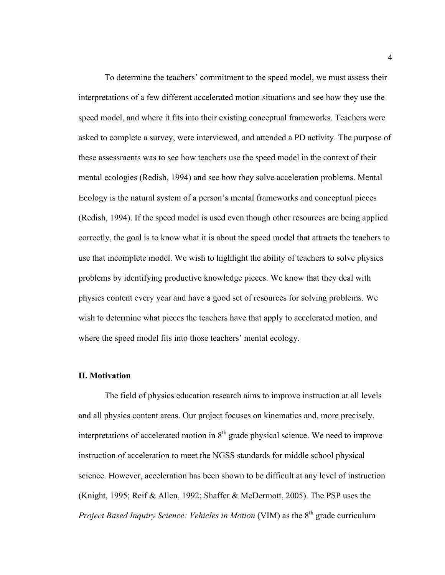To determine the teachers' commitment to the speed model, we must assess their interpretations of a few different accelerated motion situations and see how they use the speed model, and where it fits into their existing conceptual frameworks. Teachers were asked to complete a survey, were interviewed, and attended a PD activity. The purpose of these assessments was to see how teachers use the speed model in the context of their mental ecologies (Redish, 1994) and see how they solve acceleration problems. Mental Ecology is the natural system of a person's mental frameworks and conceptual pieces (Redish, 1994). If the speed model is used even though other resources are being applied correctly, the goal is to know what it is about the speed model that attracts the teachers to use that incomplete model. We wish to highlight the ability of teachers to solve physics problems by identifying productive knowledge pieces. We know that they deal with physics content every year and have a good set of resources for solving problems. We wish to determine what pieces the teachers have that apply to accelerated motion, and where the speed model fits into those teachers' mental ecology.

#### **II. Motivation**

The field of physics education research aims to improve instruction at all levels and all physics content areas. Our project focuses on kinematics and, more precisely, interpretations of accelerated motion in  $8<sup>th</sup>$  grade physical science. We need to improve instruction of acceleration to meet the NGSS standards for middle school physical science. However, acceleration has been shown to be difficult at any level of instruction (Knight, 1995; Reif & Allen, 1992; Shaffer & McDermott, 2005). The PSP uses the *Project Based Inquiry Science: Vehicles in Motion* (VIM) as the 8<sup>th</sup> grade curriculum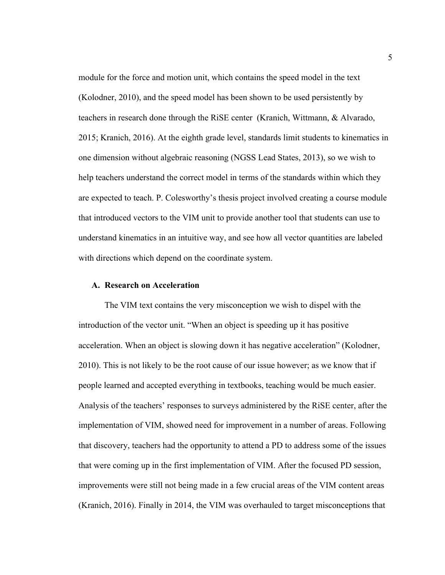module for the force and motion unit, which contains the speed model in the text (Kolodner, 2010), and the speed model has been shown to be used persistently by teachers in research done through the RiSE center (Kranich, Wittmann, & Alvarado, 2015; Kranich, 2016). At the eighth grade level, standards limit students to kinematics in one dimension without algebraic reasoning (NGSS Lead States, 2013), so we wish to help teachers understand the correct model in terms of the standards within which they are expected to teach. P. Colesworthy's thesis project involved creating a course module that introduced vectors to the VIM unit to provide another tool that students can use to understand kinematics in an intuitive way, and see how all vector quantities are labeled with directions which depend on the coordinate system.

#### **A. Research on Acceleration**

The VIM text contains the very misconception we wish to dispel with the introduction of the vector unit. "When an object is speeding up it has positive acceleration. When an object is slowing down it has negative acceleration" (Kolodner, 2010). This is not likely to be the root cause of our issue however; as we know that if people learned and accepted everything in textbooks, teaching would be much easier. Analysis of the teachers' responses to surveys administered by the RiSE center, after the implementation of VIM, showed need for improvement in a number of areas. Following that discovery, teachers had the opportunity to attend a PD to address some of the issues that were coming up in the first implementation of VIM. After the focused PD session, improvements were still not being made in a few crucial areas of the VIM content areas (Kranich, 2016). Finally in 2014, the VIM was overhauled to target misconceptions that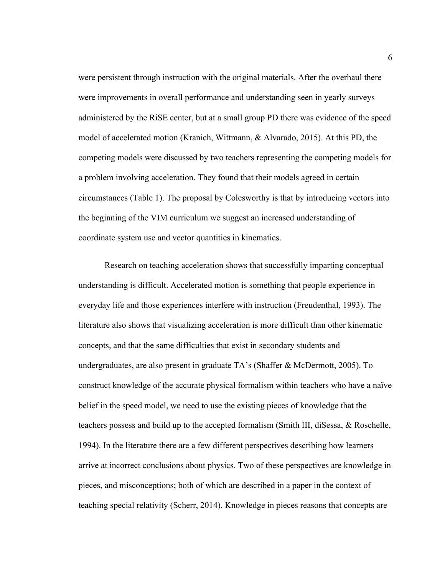were persistent through instruction with the original materials. After the overhaul there were improvements in overall performance and understanding seen in yearly surveys administered by the RiSE center, but at a small group PD there was evidence of the speed model of accelerated motion (Kranich, Wittmann, & Alvarado, 2015). At this PD, the competing models were discussed by two teachers representing the competing models for a problem involving acceleration. They found that their models agreed in certain circumstances (Table 1). The proposal by Colesworthy is that by introducing vectors into the beginning of the VIM curriculum we suggest an increased understanding of coordinate system use and vector quantities in kinematics.

Research on teaching acceleration shows that successfully imparting conceptual understanding is difficult. Accelerated motion is something that people experience in everyday life and those experiences interfere with instruction (Freudenthal, 1993). The literature also shows that visualizing acceleration is more difficult than other kinematic concepts, and that the same difficulties that exist in secondary students and undergraduates, are also present in graduate TA's (Shaffer & McDermott, 2005). To construct knowledge of the accurate physical formalism within teachers who have a naïve belief in the speed model, we need to use the existing pieces of knowledge that the teachers possess and build up to the accepted formalism (Smith III, diSessa, & Roschelle, 1994). In the literature there are a few different perspectives describing how learners arrive at incorrect conclusions about physics. Two of these perspectives are knowledge in pieces, and misconceptions; both of which are described in a paper in the context of teaching special relativity (Scherr, 2014). Knowledge in pieces reasons that concepts are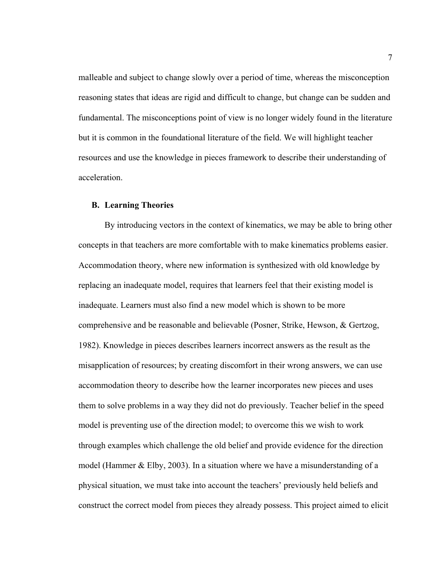malleable and subject to change slowly over a period of time, whereas the misconception reasoning states that ideas are rigid and difficult to change, but change can be sudden and fundamental. The misconceptions point of view is no longer widely found in the literature but it is common in the foundational literature of the field. We will highlight teacher resources and use the knowledge in pieces framework to describe their understanding of acceleration.

#### **B. Learning Theories**

By introducing vectors in the context of kinematics, we may be able to bring other concepts in that teachers are more comfortable with to make kinematics problems easier. Accommodation theory, where new information is synthesized with old knowledge by replacing an inadequate model, requires that learners feel that their existing model is inadequate. Learners must also find a new model which is shown to be more comprehensive and be reasonable and believable (Posner, Strike, Hewson, & Gertzog, 1982). Knowledge in pieces describes learners incorrect answers as the result as the misapplication of resources; by creating discomfort in their wrong answers, we can use accommodation theory to describe how the learner incorporates new pieces and uses them to solve problems in a way they did not do previously. Teacher belief in the speed model is preventing use of the direction model; to overcome this we wish to work through examples which challenge the old belief and provide evidence for the direction model (Hammer  $& Elby, 2003$ ). In a situation where we have a misunderstanding of a physical situation, we must take into account the teachers' previously held beliefs and construct the correct model from pieces they already possess. This project aimed to elicit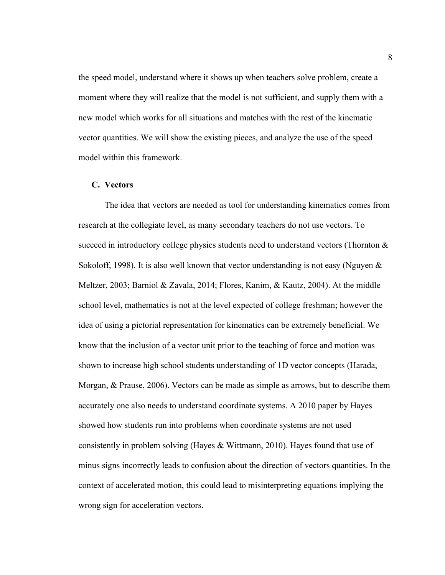the speed model, understand where it shows up when teachers solve problem, create a moment where they will realize that the model is not sufficient, and supply them with a new model which works for all situations and matches with the rest of the kinematic vector quantities. We will show the existing pieces, and analyze the use of the speed model within this framework.

### **C. Vectors**

The idea that vectors are needed as tool for understanding kinematics comes from research at the collegiate level, as many secondary teachers do not use vectors. To succeed in introductory college physics students need to understand vectors (Thornton  $\&$ Sokoloff, 1998). It is also well known that vector understanding is not easy (Nguyen & Meltzer, 2003; Barniol & Zavala, 2014; Flores, Kanim, & Kautz, 2004). At the middle school level, mathematics is not at the level expected of college freshman; however the idea of using a pictorial representation for kinematics can be extremely beneficial. We know that the inclusion of a vector unit prior to the teaching of force and motion was shown to increase high school students understanding of 1D vector concepts (Harada, Morgan, & Prause, 2006). Vectors can be made as simple as arrows, but to describe them accurately one also needs to understand coordinate systems. A 2010 paper by Hayes showed how students run into problems when coordinate systems are not used consistently in problem solving (Hayes & Wittmann, 2010). Hayes found that use of minus signs incorrectly leads to confusion about the direction of vectors quantities. In the context of accelerated motion, this could lead to misinterpreting equations implying the wrong sign for acceleration vectors.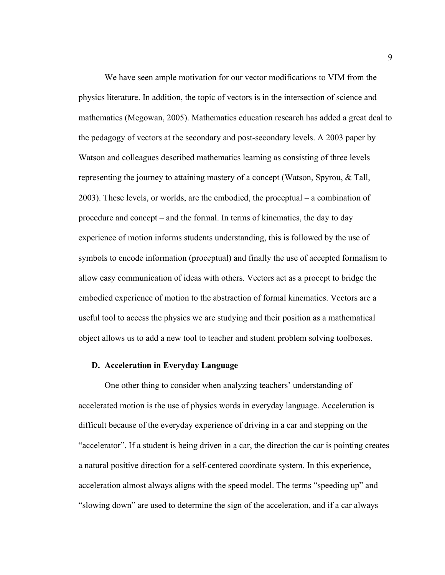We have seen ample motivation for our vector modifications to VIM from the physics literature. In addition, the topic of vectors is in the intersection of science and mathematics (Megowan, 2005). Mathematics education research has added a great deal to the pedagogy of vectors at the secondary and post-secondary levels. A 2003 paper by Watson and colleagues described mathematics learning as consisting of three levels representing the journey to attaining mastery of a concept (Watson, Spyrou, & Tall, 2003). These levels, or worlds, are the embodied, the proceptual – a combination of procedure and concept – and the formal. In terms of kinematics, the day to day experience of motion informs students understanding, this is followed by the use of symbols to encode information (proceptual) and finally the use of accepted formalism to allow easy communication of ideas with others. Vectors act as a procept to bridge the embodied experience of motion to the abstraction of formal kinematics. Vectors are a useful tool to access the physics we are studying and their position as a mathematical object allows us to add a new tool to teacher and student problem solving toolboxes.

#### **D. Acceleration in Everyday Language**

One other thing to consider when analyzing teachers' understanding of accelerated motion is the use of physics words in everyday language. Acceleration is difficult because of the everyday experience of driving in a car and stepping on the "accelerator". If a student is being driven in a car, the direction the car is pointing creates a natural positive direction for a self-centered coordinate system. In this experience, acceleration almost always aligns with the speed model. The terms "speeding up" and "slowing down" are used to determine the sign of the acceleration, and if a car always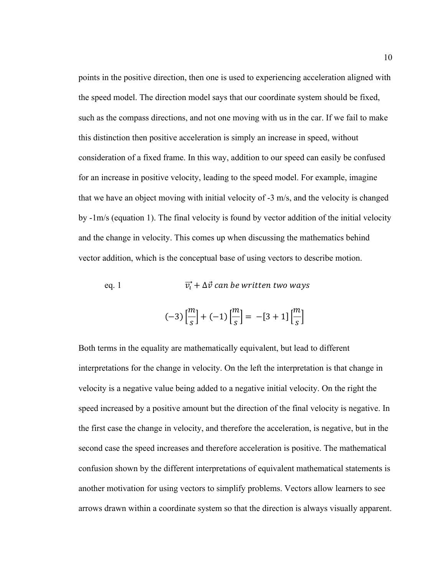points in the positive direction, then one is used to experiencing acceleration aligned with the speed model. The direction model says that our coordinate system should be fixed, such as the compass directions, and not one moving with us in the car. If we fail to make this distinction then positive acceleration is simply an increase in speed, without consideration of a fixed frame. In this way, addition to our speed can easily be confused for an increase in positive velocity, leading to the speed model. For example, imagine that we have an object moving with initial velocity of -3 m/s, and the velocity is changed by -1m/s (equation 1). The final velocity is found by vector addition of the initial velocity and the change in velocity. This comes up when discussing the mathematics behind vector addition, which is the conceptual base of using vectors to describe motion.

eq. 1 
$$
\overrightarrow{v_i} + \Delta \vec{v}
$$
 can be written two ways

$$
(-3)\left[\frac{m}{s}\right] + (-1)\left[\frac{m}{s}\right] = -[3+1]\left[\frac{m}{s}\right]
$$

Both terms in the equality are mathematically equivalent, but lead to different interpretations for the change in velocity. On the left the interpretation is that change in velocity is a negative value being added to a negative initial velocity. On the right the speed increased by a positive amount but the direction of the final velocity is negative. In the first case the change in velocity, and therefore the acceleration, is negative, but in the second case the speed increases and therefore acceleration is positive. The mathematical confusion shown by the different interpretations of equivalent mathematical statements is another motivation for using vectors to simplify problems. Vectors allow learners to see arrows drawn within a coordinate system so that the direction is always visually apparent.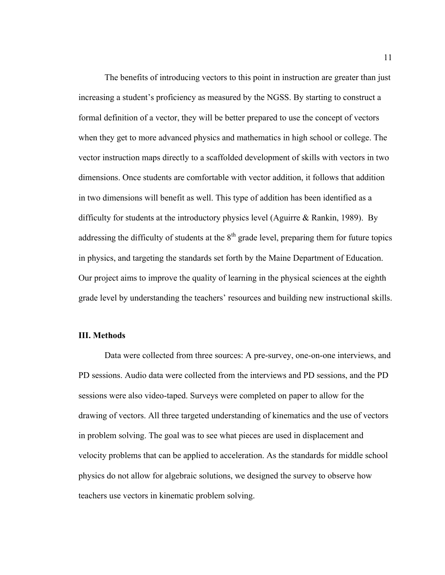The benefits of introducing vectors to this point in instruction are greater than just increasing a student's proficiency as measured by the NGSS. By starting to construct a formal definition of a vector, they will be better prepared to use the concept of vectors when they get to more advanced physics and mathematics in high school or college. The vector instruction maps directly to a scaffolded development of skills with vectors in two dimensions. Once students are comfortable with vector addition, it follows that addition in two dimensions will benefit as well. This type of addition has been identified as a difficulty for students at the introductory physics level (Aguirre & Rankin, 1989). By addressing the difficulty of students at the  $8<sup>th</sup>$  grade level, preparing them for future topics in physics, and targeting the standards set forth by the Maine Department of Education. Our project aims to improve the quality of learning in the physical sciences at the eighth grade level by understanding the teachers' resources and building new instructional skills.

## **III. Methods**

Data were collected from three sources: A pre-survey, one-on-one interviews, and PD sessions. Audio data were collected from the interviews and PD sessions, and the PD sessions were also video-taped. Surveys were completed on paper to allow for the drawing of vectors. All three targeted understanding of kinematics and the use of vectors in problem solving. The goal was to see what pieces are used in displacement and velocity problems that can be applied to acceleration. As the standards for middle school physics do not allow for algebraic solutions, we designed the survey to observe how teachers use vectors in kinematic problem solving.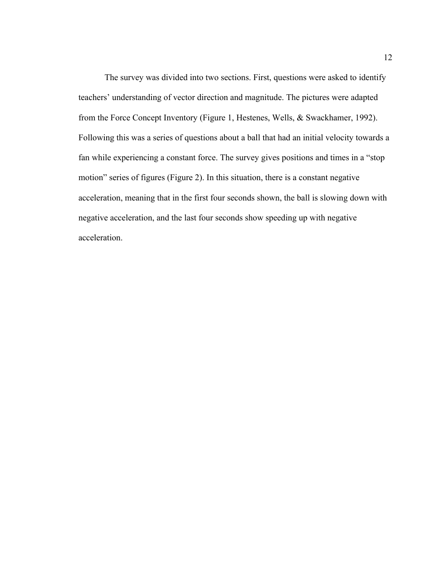The survey was divided into two sections. First, questions were asked to identify teachers' understanding of vector direction and magnitude. The pictures were adapted from the Force Concept Inventory (Figure 1, Hestenes, Wells, & Swackhamer, 1992). Following this was a series of questions about a ball that had an initial velocity towards a fan while experiencing a constant force. The survey gives positions and times in a "stop motion" series of figures (Figure 2). In this situation, there is a constant negative acceleration, meaning that in the first four seconds shown, the ball is slowing down with negative acceleration, and the last four seconds show speeding up with negative acceleration.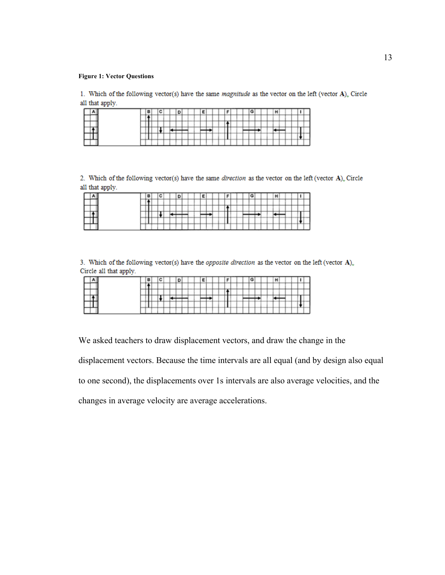#### **Figure 1: Vector Questions**

1. Which of the following vector(s) have the same *magnitude* as the vector on the left (vector  $A$ ). Circle all that apply.

|  | .   |      |     |  |  |         |  |  |     |   |  |  |  |  |         |   |  |
|--|-----|------|-----|--|--|---------|--|--|-----|---|--|--|--|--|---------|---|--|
|  |     |      |     |  |  | _______ |  |  | ___ |   |  |  |  |  |         |   |  |
|  |     | ---- | -   |  |  |         |  |  | --- |   |  |  |  |  |         |   |  |
|  | --  | --   | . . |  |  |         |  |  |     |   |  |  |  |  |         |   |  |
|  | --- |      |     |  |  |         |  |  |     | - |  |  |  |  | . .     | - |  |
|  |     |      |     |  |  |         |  |  |     |   |  |  |  |  | nation. |   |  |

2. Which of the following vector(s) have the same direction as the vector on the left (vector A). Circle all that apply.

|  |  | . . |  |  |  |  |  | . . |  |  |  |  |  |  |  |
|--|--|-----|--|--|--|--|--|-----|--|--|--|--|--|--|--|

3. Which of the following vector(s) have the *opposite direction* as the vector on the left (vector  $A$ )<sub> $\circ$ </sub> Circle all that apply.

|  | __  |   |   |  |  |         |  |  |  |  |  |  |  |  |  |  |
|--|-----|---|---|--|--|---------|--|--|--|--|--|--|--|--|--|--|
|  |     |   |   |  |  |         |  |  |  |  |  |  |  |  |  |  |
|  |     |   |   |  |  | _______ |  |  |  |  |  |  |  |  |  |  |
|  |     |   |   |  |  |         |  |  |  |  |  |  |  |  |  |  |
|  |     | - | - |  |  |         |  |  |  |  |  |  |  |  |  |  |
|  | --- |   |   |  |  |         |  |  |  |  |  |  |  |  |  |  |

We asked teachers to draw displacement vectors, and draw the change in the displacement vectors. Because the time intervals are all equal (and by design also equal to one second), the displacements over 1s intervals are also average velocities, and the changes in average velocity are average accelerations.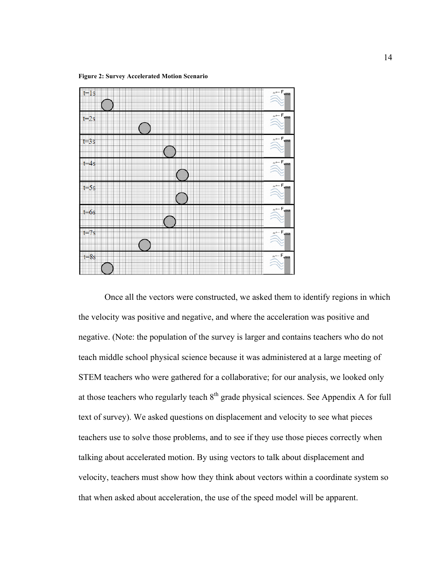**Figure 2: Survey Accelerated Motion Scenario**



Once all the vectors were constructed, we asked them to identify regions in which the velocity was positive and negative, and where the acceleration was positive and negative. (Note: the population of the survey is larger and contains teachers who do not teach middle school physical science because it was administered at a large meeting of STEM teachers who were gathered for a collaborative; for our analysis, we looked only at those teachers who regularly teach  $8<sup>th</sup>$  grade physical sciences. See Appendix A for full text of survey). We asked questions on displacement and velocity to see what pieces teachers use to solve those problems, and to see if they use those pieces correctly when talking about accelerated motion. By using vectors to talk about displacement and velocity, teachers must show how they think about vectors within a coordinate system so that when asked about acceleration, the use of the speed model will be apparent.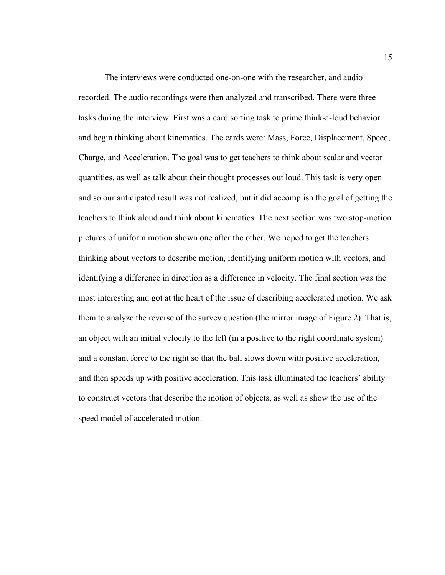The interviews were conducted one-on-one with the researcher, and audio recorded. The audio recordings were then analyzed and transcribed. There were three tasks during the interview. First was a card sorting task to prime think-a-loud behavior and begin thinking about kinematics. The cards were: Mass, Force, Displacement, Speed, Charge, and Acceleration. The goal was to get teachers to think about scalar and vector quantities, as well as talk about their thought processes out loud. This task is very open and so our anticipated result was not realized, but it did accomplish the goal of getting the teachers to think aloud and think about kinematics. The next section was two stop-motion pictures of uniform motion shown one after the other. We hoped to get the teachers thinking about vectors to describe motion, identifying uniform motion with vectors, and identifying a difference in direction as a difference in velocity. The final section was the most interesting and got at the heart of the issue of describing accelerated motion. We ask them to analyze the reverse of the survey question (the mirror image of Figure 2). That is, an object with an initial velocity to the left (in a positive to the right coordinate system) and a constant force to the right so that the ball slows down with positive acceleration, and then speeds up with positive acceleration. This task illuminated the teachers' ability to construct vectors that describe the motion of objects, as well as show the use of the speed model of accelerated motion.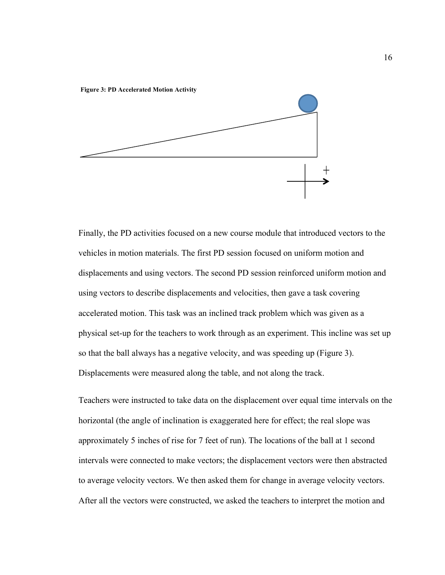

Finally, the PD activities focused on a new course module that introduced vectors to the vehicles in motion materials. The first PD session focused on uniform motion and displacements and using vectors. The second PD session reinforced uniform motion and using vectors to describe displacements and velocities, then gave a task covering accelerated motion. This task was an inclined track problem which was given as a physical set-up for the teachers to work through as an experiment. This incline was set up so that the ball always has a negative velocity, and was speeding up (Figure 3). Displacements were measured along the table, and not along the track.

Teachers were instructed to take data on the displacement over equal time intervals on the horizontal (the angle of inclination is exaggerated here for effect; the real slope was approximately 5 inches of rise for 7 feet of run). The locations of the ball at 1 second intervals were connected to make vectors; the displacement vectors were then abstracted to average velocity vectors. We then asked them for change in average velocity vectors. After all the vectors were constructed, we asked the teachers to interpret the motion and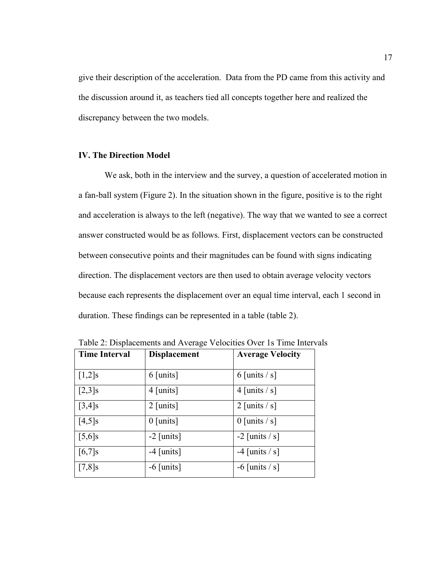give their description of the acceleration. Data from the PD came from this activity and the discussion around it, as teachers tied all concepts together here and realized the discrepancy between the two models.

### **IV. The Direction Model**

We ask, both in the interview and the survey, a question of accelerated motion in a fan-ball system (Figure 2). In the situation shown in the figure, positive is to the right and acceleration is always to the left (negative). The way that we wanted to see a correct answer constructed would be as follows. First, displacement vectors can be constructed between consecutive points and their magnitudes can be found with signs indicating direction. The displacement vectors are then used to obtain average velocity vectors because each represents the displacement over an equal time interval, each 1 second in duration. These findings can be represented in a table (table 2).

| <b>Time Interval</b> | <b>Displacement</b> | <b>Average Velocity</b> |
|----------------------|---------------------|-------------------------|
|                      |                     |                         |
| $[1,2]$ s            | $6$ [units]         | 6 [units $/s$ ]         |
| $[2,3]$ s            | $4$ [units]         | 4 [units $/s$ ]         |
| $[3,4]$ s            | $2$ [units]         | 2 [units $/s$ ]         |
| $[4,5]$ s            | $0$ [units]         | $0$ [units $/s$ ]       |
| $[5,6]$ s            | $-2$ [units]        | $-2$ [units / s]        |
| $[6,7]$ s            | $-4$ [units]        | -4 [units $/s$ ]        |
| $[7,8]$ s            | $-6$ [units]        | $-6$ [units / s]        |

Table 2: Displacements and Average Velocities Over 1s Time Intervals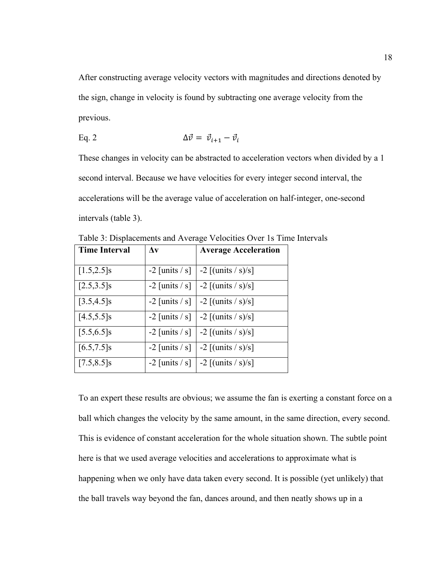After constructing average velocity vectors with magnitudes and directions denoted by the sign, change in velocity is found by subtracting one average velocity from the previous.

Eq. 2 
$$
\Delta \vec{v} = \vec{v}_{i+1} - \vec{v}_i
$$

These changes in velocity can be abstracted to acceleration vectors when divided by a 1 second interval. Because we have velocities for every integer second interval, the accelerations will be the average value of acceleration on half-integer, one-second intervals (table 3).

| <b>Time Interval</b> | $\Delta v$               | <b>Average Acceleration</b>                       |
|----------------------|--------------------------|---------------------------------------------------|
| $[1.5, 2.5]$ s       |                          | $-2$ [units / s] $\vert -2 \vert$ [(units / s)/s] |
| $[2.5, 3.5]$ s       |                          | $-2$ [units / s] $\vert -2$ [(units / s)/s]       |
| $[3.5, 4.5]$ s       | $-2$ [units / s] $\vert$ | $-2$ [(units / s)/s]                              |
| $[4.5, 5.5]$ s       |                          | $-2$ [units / s] $\vert -2$ [(units / s)/s]       |
| $[5.5, 6.5]$ s       |                          | $-2$ [units / s]   $-2$ [(units / s)/s]           |
| $[6.5, 7.5]$ s       | $-2$ [units / s] $\vert$ | $-2$ [(units / s)/s]                              |
| $[7.5, 8.5]$ s       |                          | $-2$ [units / s] $\vert -2 \vert$ [(units / s)/s] |

Table 3: Displacements and Average Velocities Over 1s Time Intervals

To an expert these results are obvious; we assume the fan is exerting a constant force on a ball which changes the velocity by the same amount, in the same direction, every second. This is evidence of constant acceleration for the whole situation shown. The subtle point here is that we used average velocities and accelerations to approximate what is happening when we only have data taken every second. It is possible (yet unlikely) that the ball travels way beyond the fan, dances around, and then neatly shows up in a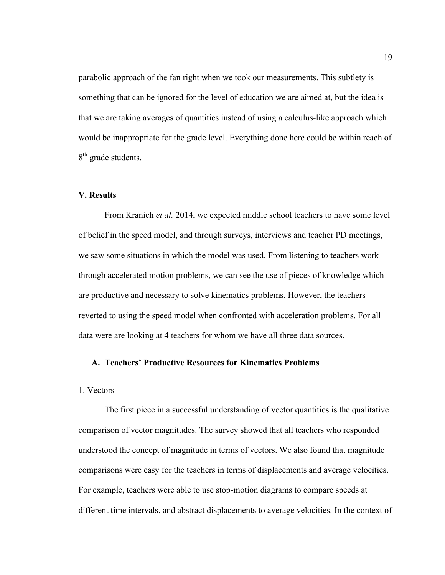parabolic approach of the fan right when we took our measurements. This subtlety is something that can be ignored for the level of education we are aimed at, but the idea is that we are taking averages of quantities instead of using a calculus-like approach which would be inappropriate for the grade level. Everything done here could be within reach of 8<sup>th</sup> grade students.

#### **V. Results**

From Kranich *et al.* 2014, we expected middle school teachers to have some level of belief in the speed model, and through surveys, interviews and teacher PD meetings, we saw some situations in which the model was used. From listening to teachers work through accelerated motion problems, we can see the use of pieces of knowledge which are productive and necessary to solve kinematics problems. However, the teachers reverted to using the speed model when confronted with acceleration problems. For all data were are looking at 4 teachers for whom we have all three data sources.

### **A. Teachers' Productive Resources for Kinematics Problems**

#### 1. Vectors

The first piece in a successful understanding of vector quantities is the qualitative comparison of vector magnitudes. The survey showed that all teachers who responded understood the concept of magnitude in terms of vectors. We also found that magnitude comparisons were easy for the teachers in terms of displacements and average velocities. For example, teachers were able to use stop-motion diagrams to compare speeds at different time intervals, and abstract displacements to average velocities. In the context of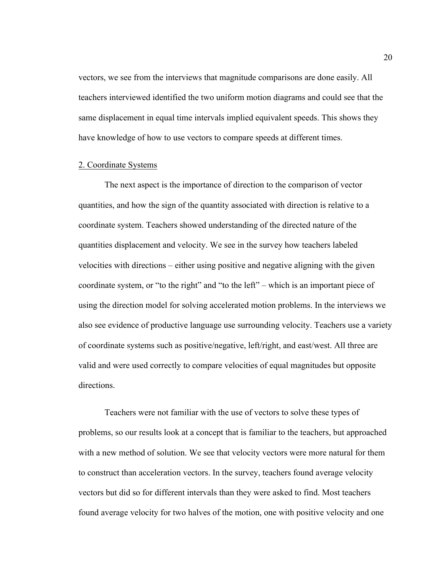vectors, we see from the interviews that magnitude comparisons are done easily. All teachers interviewed identified the two uniform motion diagrams and could see that the same displacement in equal time intervals implied equivalent speeds. This shows they have knowledge of how to use vectors to compare speeds at different times.

#### 2. Coordinate Systems

The next aspect is the importance of direction to the comparison of vector quantities, and how the sign of the quantity associated with direction is relative to a coordinate system. Teachers showed understanding of the directed nature of the quantities displacement and velocity. We see in the survey how teachers labeled velocities with directions – either using positive and negative aligning with the given coordinate system, or "to the right" and "to the left" – which is an important piece of using the direction model for solving accelerated motion problems. In the interviews we also see evidence of productive language use surrounding velocity. Teachers use a variety of coordinate systems such as positive/negative, left/right, and east/west. All three are valid and were used correctly to compare velocities of equal magnitudes but opposite directions.

Teachers were not familiar with the use of vectors to solve these types of problems, so our results look at a concept that is familiar to the teachers, but approached with a new method of solution. We see that velocity vectors were more natural for them to construct than acceleration vectors. In the survey, teachers found average velocity vectors but did so for different intervals than they were asked to find. Most teachers found average velocity for two halves of the motion, one with positive velocity and one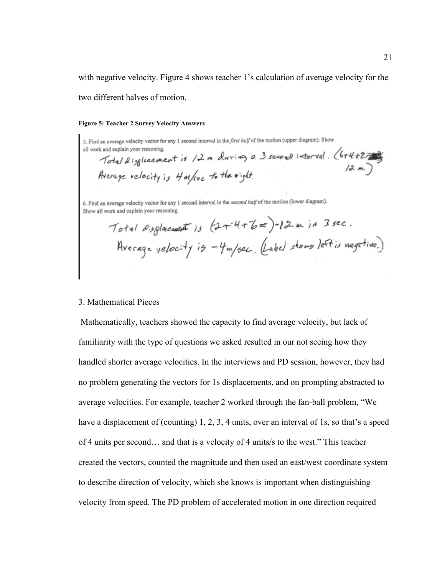with negative velocity. Figure 4 shows teacher 1's calculation of average velocity for the two different halves of motion.

#### **Figure 5: Teacher 2 Survey Velocity Answers**

5. Find an average velocity vector for any 1 second interval in the first half of the motion (upper diagram). Show  $\frac{1}{2}$ <br> $\frac{1}{2}$  and explain your reasoning.<br>Total disglacement is  $/2$  m during a 3 second interval. (6+4+2= all work and explain your reasoning. Average velocity is 4 m/sec to the right.

6. Find an average velocity vector for any 1 second interval in the second half of the motion (lower diagram). Show all work and explain your reasoning.

Total displacement is  $(2+4+6\pi)$ -12m in 3 sec.<br>Hyerage velocity is -4m/sec. (Label shows left is negative.)

#### 3. Mathematical Pieces

Mathematically, teachers showed the capacity to find average velocity, but lack of familiarity with the type of questions we asked resulted in our not seeing how they handled shorter average velocities. In the interviews and PD session, however, they had no problem generating the vectors for 1s displacements, and on prompting abstracted to average velocities. For example, teacher 2 worked through the fan-ball problem, "We have a displacement of (counting) 1, 2, 3, 4 units, over an interval of 1s, so that's a speed of 4 units per second… and that is a velocity of 4 units/s to the west." This teacher created the vectors, counted the magnitude and then used an east/west coordinate system to describe direction of velocity, which she knows is important when distinguishing velocity from speed. The PD problem of accelerated motion in one direction required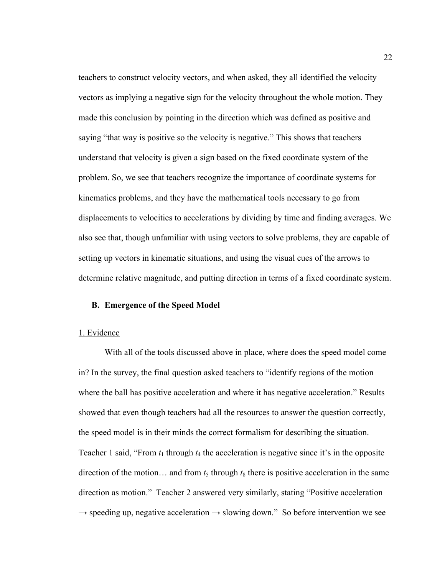teachers to construct velocity vectors, and when asked, they all identified the velocity vectors as implying a negative sign for the velocity throughout the whole motion. They made this conclusion by pointing in the direction which was defined as positive and saying "that way is positive so the velocity is negative." This shows that teachers understand that velocity is given a sign based on the fixed coordinate system of the problem. So, we see that teachers recognize the importance of coordinate systems for kinematics problems, and they have the mathematical tools necessary to go from displacements to velocities to accelerations by dividing by time and finding averages. We also see that, though unfamiliar with using vectors to solve problems, they are capable of setting up vectors in kinematic situations, and using the visual cues of the arrows to determine relative magnitude, and putting direction in terms of a fixed coordinate system.

#### **B. Emergence of the Speed Model**

#### 1. Evidence

With all of the tools discussed above in place, where does the speed model come in? In the survey, the final question asked teachers to "identify regions of the motion where the ball has positive acceleration and where it has negative acceleration." Results showed that even though teachers had all the resources to answer the question correctly, the speed model is in their minds the correct formalism for describing the situation. Teacher 1 said, "From  $t_1$  through  $t_4$  the acceleration is negative since it's in the opposite direction of the motion... and from  $t_5$  through  $t_8$  there is positive acceleration in the same direction as motion." Teacher 2 answered very similarly, stating "Positive acceleration  $\rightarrow$  speeding up, negative acceleration  $\rightarrow$  slowing down." So before intervention we see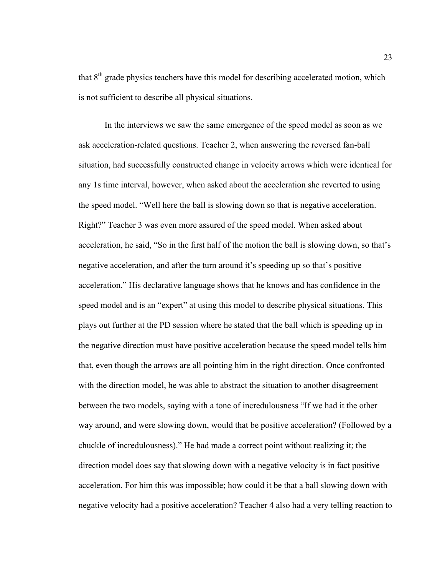that  $8<sup>th</sup>$  grade physics teachers have this model for describing accelerated motion, which is not sufficient to describe all physical situations.

In the interviews we saw the same emergence of the speed model as soon as we ask acceleration-related questions. Teacher 2, when answering the reversed fan-ball situation, had successfully constructed change in velocity arrows which were identical for any 1s time interval, however, when asked about the acceleration she reverted to using the speed model. "Well here the ball is slowing down so that is negative acceleration. Right?" Teacher 3 was even more assured of the speed model. When asked about acceleration, he said, "So in the first half of the motion the ball is slowing down, so that's negative acceleration, and after the turn around it's speeding up so that's positive acceleration." His declarative language shows that he knows and has confidence in the speed model and is an "expert" at using this model to describe physical situations. This plays out further at the PD session where he stated that the ball which is speeding up in the negative direction must have positive acceleration because the speed model tells him that, even though the arrows are all pointing him in the right direction. Once confronted with the direction model, he was able to abstract the situation to another disagreement between the two models, saying with a tone of incredulousness "If we had it the other way around, and were slowing down, would that be positive acceleration? (Followed by a chuckle of incredulousness)." He had made a correct point without realizing it; the direction model does say that slowing down with a negative velocity is in fact positive acceleration. For him this was impossible; how could it be that a ball slowing down with negative velocity had a positive acceleration? Teacher 4 also had a very telling reaction to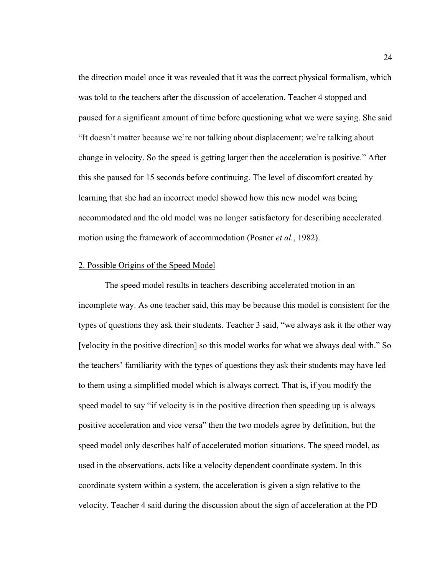the direction model once it was revealed that it was the correct physical formalism, which was told to the teachers after the discussion of acceleration. Teacher 4 stopped and paused for a significant amount of time before questioning what we were saying. She said "It doesn't matter because we're not talking about displacement; we're talking about change in velocity. So the speed is getting larger then the acceleration is positive." After this she paused for 15 seconds before continuing. The level of discomfort created by learning that she had an incorrect model showed how this new model was being accommodated and the old model was no longer satisfactory for describing accelerated motion using the framework of accommodation (Posner *et al.*, 1982).

### 2. Possible Origins of the Speed Model

The speed model results in teachers describing accelerated motion in an incomplete way. As one teacher said, this may be because this model is consistent for the types of questions they ask their students. Teacher 3 said, "we always ask it the other way [velocity in the positive direction] so this model works for what we always deal with." So the teachers' familiarity with the types of questions they ask their students may have led to them using a simplified model which is always correct. That is, if you modify the speed model to say "if velocity is in the positive direction then speeding up is always positive acceleration and vice versa" then the two models agree by definition, but the speed model only describes half of accelerated motion situations. The speed model, as used in the observations, acts like a velocity dependent coordinate system. In this coordinate system within a system, the acceleration is given a sign relative to the velocity. Teacher 4 said during the discussion about the sign of acceleration at the PD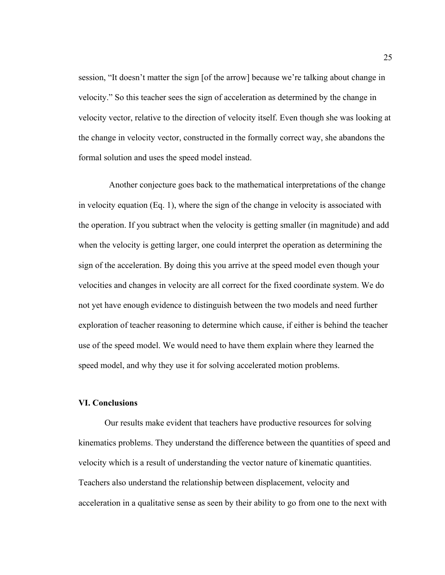session, "It doesn't matter the sign [of the arrow] because we're talking about change in velocity." So this teacher sees the sign of acceleration as determined by the change in velocity vector, relative to the direction of velocity itself. Even though she was looking at the change in velocity vector, constructed in the formally correct way, she abandons the formal solution and uses the speed model instead.

 Another conjecture goes back to the mathematical interpretations of the change in velocity equation (Eq. 1), where the sign of the change in velocity is associated with the operation. If you subtract when the velocity is getting smaller (in magnitude) and add when the velocity is getting larger, one could interpret the operation as determining the sign of the acceleration. By doing this you arrive at the speed model even though your velocities and changes in velocity are all correct for the fixed coordinate system. We do not yet have enough evidence to distinguish between the two models and need further exploration of teacher reasoning to determine which cause, if either is behind the teacher use of the speed model. We would need to have them explain where they learned the speed model, and why they use it for solving accelerated motion problems.

#### **VI. Conclusions**

Our results make evident that teachers have productive resources for solving kinematics problems. They understand the difference between the quantities of speed and velocity which is a result of understanding the vector nature of kinematic quantities. Teachers also understand the relationship between displacement, velocity and acceleration in a qualitative sense as seen by their ability to go from one to the next with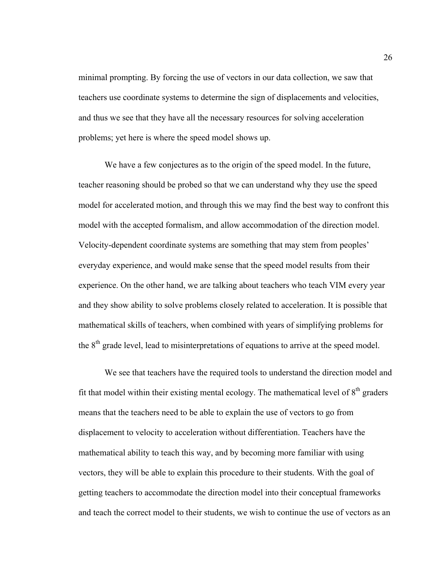minimal prompting. By forcing the use of vectors in our data collection, we saw that teachers use coordinate systems to determine the sign of displacements and velocities, and thus we see that they have all the necessary resources for solving acceleration problems; yet here is where the speed model shows up.

We have a few conjectures as to the origin of the speed model. In the future, teacher reasoning should be probed so that we can understand why they use the speed model for accelerated motion, and through this we may find the best way to confront this model with the accepted formalism, and allow accommodation of the direction model. Velocity-dependent coordinate systems are something that may stem from peoples' everyday experience, and would make sense that the speed model results from their experience. On the other hand, we are talking about teachers who teach VIM every year and they show ability to solve problems closely related to acceleration. It is possible that mathematical skills of teachers, when combined with years of simplifying problems for the  $8<sup>th</sup>$  grade level, lead to misinterpretations of equations to arrive at the speed model.

We see that teachers have the required tools to understand the direction model and fit that model within their existing mental ecology. The mathematical level of  $8<sup>th</sup>$  graders means that the teachers need to be able to explain the use of vectors to go from displacement to velocity to acceleration without differentiation. Teachers have the mathematical ability to teach this way, and by becoming more familiar with using vectors, they will be able to explain this procedure to their students. With the goal of getting teachers to accommodate the direction model into their conceptual frameworks and teach the correct model to their students, we wish to continue the use of vectors as an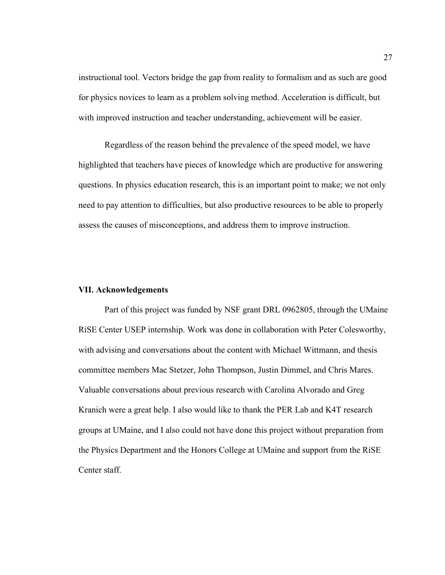instructional tool. Vectors bridge the gap from reality to formalism and as such are good for physics novices to learn as a problem solving method. Acceleration is difficult, but with improved instruction and teacher understanding, achievement will be easier.

Regardless of the reason behind the prevalence of the speed model, we have highlighted that teachers have pieces of knowledge which are productive for answering questions. In physics education research, this is an important point to make; we not only need to pay attention to difficulties, but also productive resources to be able to properly assess the causes of misconceptions, and address them to improve instruction.

### **VII. Acknowledgements**

Part of this project was funded by NSF grant DRL 0962805, through the UMaine RiSE Center USEP internship. Work was done in collaboration with Peter Colesworthy, with advising and conversations about the content with Michael Wittmann, and thesis committee members Mac Stetzer, John Thompson, Justin Dimmel, and Chris Mares. Valuable conversations about previous research with Carolina Alvorado and Greg Kranich were a great help. I also would like to thank the PER Lab and K4T research groups at UMaine, and I also could not have done this project without preparation from the Physics Department and the Honors College at UMaine and support from the RiSE Center staff.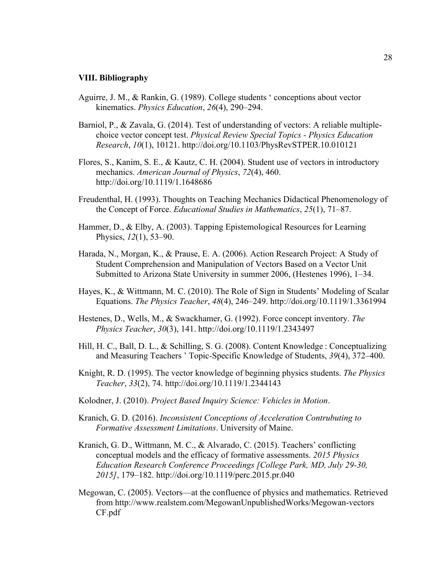#### **VIII. Bibliography**

- Aguirre, J. M., & Rankin, G. (1989). College students ' conceptions about vector kinematics. *Physics Education*, *26*(4), 290–294.
- Barniol, P., & Zavala, G. (2014). Test of understanding of vectors: A reliable multiplechoice vector concept test. *Physical Review Special Topics - Physics Education Research*, *10*(1), 10121. http://doi.org/10.1103/PhysRevSTPER.10.010121
- Flores, S., Kanim, S. E., & Kautz, C. H. (2004). Student use of vectors in introductory mechanics. *American Journal of Physics*, *72*(4), 460. http://doi.org/10.1119/1.1648686
- Freudenthal, H. (1993). Thoughts on Teaching Mechanics Didactical Phenomenology of the Concept of Force. *Educational Studies in Mathematics*, *25*(1), 71–87.
- Hammer, D., & Elby, A. (2003). Tapping Epistemological Resources for Learning Physics, *12*(1), 53–90.
- Harada, N., Morgan, K., & Prause, E. A. (2006). Action Research Project: A Study of Student Comprehension and Manipulation of Vectors Based on a Vector Unit Submitted to Arizona State University in summer 2006, (Hestenes 1996), 1–34.
- Hayes, K., & Wittmann, M. C. (2010). The Role of Sign in Students' Modeling of Scalar Equations. *The Physics Teacher*, *48*(4), 246–249. http://doi.org/10.1119/1.3361994
- Hestenes, D., Wells, M., & Swackhamer, G. (1992). Force concept inventory. *The Physics Teacher*, *30*(3), 141. http://doi.org/10.1119/1.2343497
- Hill, H. C., Ball, D. L., & Schilling, S. G. (2008). Content Knowledge : Conceptualizing and Measuring Teachers ' Topic-Specific Knowledge of Students, *39*(4), 372–400.
- Knight, R. D. (1995). The vector knowledge of beginning physics students. *The Physics Teacher*, *33*(2), 74. http://doi.org/10.1119/1.2344143
- Kolodner, J. (2010). *Project Based Inquiry Science: Vehicles in Motion*.
- Kranich, G. D. (2016). *Inconsistent Conceptions of Acceleration Contrubuting to Formative Assessment Limitations*. University of Maine.
- Kranich, G. D., Wittmann, M. C., & Alvarado, C. (2015). Teachers' conflicting conceptual models and the efficacy of formative assessments. *2015 Physics Education Research Conference Proceedings [College Park, MD, July 29-30, 2015]*, 179–182. http://doi.org/10.1119/perc.2015.pr.040
- Megowan, C. (2005). Vectors—at the confluence of physics and mathematics. Retrieved from http://www.realstem.com/MegowanUnpublishedWorks/Megowan-vectors CF.pdf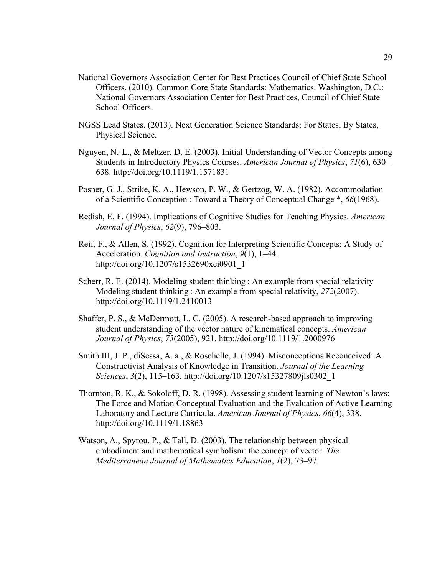- National Governors Association Center for Best Practices Council of Chief State School Officers. (2010). Common Core State Standards: Mathematics. Washington, D.C.: National Governors Association Center for Best Practices, Council of Chief State School Officers.
- NGSS Lead States. (2013). Next Generation Science Standards: For States, By States, Physical Science.
- Nguyen, N.-L., & Meltzer, D. E. (2003). Initial Understanding of Vector Concepts among Students in Introductory Physics Courses. *American Journal of Physics*, *71*(6), 630– 638. http://doi.org/10.1119/1.1571831
- Posner, G. J., Strike, K. A., Hewson, P. W., & Gertzog, W. A. (1982). Accommodation of a Scientific Conception : Toward a Theory of Conceptual Change \*, *66*(1968).
- Redish, E. F. (1994). Implications of Cognitive Studies for Teaching Physics. *American Journal of Physics*, *62*(9), 796–803.
- Reif, F., & Allen, S. (1992). Cognition for Interpreting Scientific Concepts: A Study of Acceleration. *Cognition and Instruction*, *9*(1), 1–44. http://doi.org/10.1207/s1532690xci0901\_1
- Scherr, R. E. (2014). Modeling student thinking : An example from special relativity Modeling student thinking : An example from special relativity, *272*(2007). http://doi.org/10.1119/1.2410013
- Shaffer, P. S., & McDermott, L. C. (2005). A research-based approach to improving student understanding of the vector nature of kinematical concepts. *American Journal of Physics*, *73*(2005), 921. http://doi.org/10.1119/1.2000976
- Smith III, J. P., diSessa, A. a., & Roschelle, J. (1994). Misconceptions Reconceived: A Constructivist Analysis of Knowledge in Transition. *Journal of the Learning Sciences*, *3*(2), 115–163. http://doi.org/10.1207/s15327809jls0302\_1
- Thornton, R. K., & Sokoloff, D. R. (1998). Assessing student learning of Newton's laws: The Force and Motion Conceptual Evaluation and the Evaluation of Active Learning Laboratory and Lecture Curricula. *American Journal of Physics*, *66*(4), 338. http://doi.org/10.1119/1.18863
- Watson, A., Spyrou, P., & Tall, D. (2003). The relationship between physical embodiment and mathematical symbolism: the concept of vector. *The Mediterranean Journal of Mathematics Education*, *1*(2), 73–97.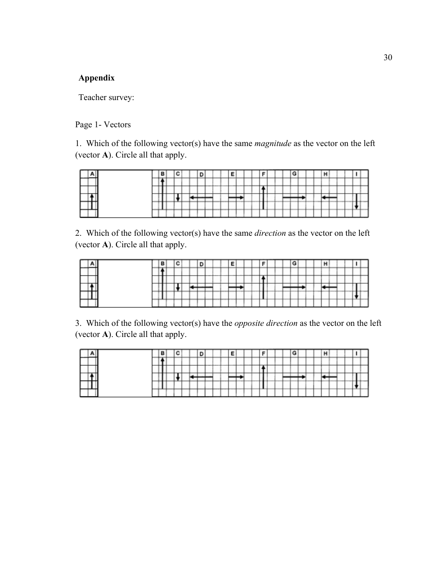# **Appendix**

Teacher survey:

## Page 1- Vectors

1. Which of the following vector(s) have the same *magnitude* as the vector on the left (vector **A**). Circle all that apply.

|  | __ |   |  |  | ___ |     |    |  |         |  |  |  |  |              |   |  |
|--|----|---|--|--|-----|-----|----|--|---------|--|--|--|--|--------------|---|--|
|  |    |   |  |  |     |     |    |  |         |  |  |  |  |              |   |  |
|  |    | - |  |  | ___ | --  | -- |  |         |  |  |  |  |              |   |  |
|  | -- |   |  |  | ___ | --- |    |  | --<br>- |  |  |  |  | <b>+----</b> | _ |  |
|  |    |   |  |  |     |     |    |  |         |  |  |  |  |              |   |  |

2. Which of the following vector(s) have the same *direction* as the vector on the left (vector **A**). Circle all that apply.

|  | -   |   |  |    |                          |   |         |    |         |   |  |  |  |             |   |     |  |
|--|-----|---|--|----|--------------------------|---|---------|----|---------|---|--|--|--|-------------|---|-----|--|
|  |     |   |  |    | ___                      |   |         |    |         |   |  |  |  |             |   |     |  |
|  |     |   |  |    |                          |   |         |    |         |   |  |  |  |             |   |     |  |
|  |     |   |  |    |                          |   |         |    |         |   |  |  |  |             |   |     |  |
|  | --- | - |  |    | _                        | - | __<br>_ | __ | <br>. . | ٠ |  |  |  |             |   | . . |  |
|  |     |   |  | __ | $\overline{\phantom{a}}$ | - |         |    |         |   |  |  |  | <b>SHIP</b> | - |     |  |

3. Which of the following vector(s) have the *opposite direction* as the vector on the left (vector **A**). Circle all that apply.

|  | __  |   |  |  |          |            |            |   |     |    |  |  |  |  |     |  |
|--|-----|---|--|--|----------|------------|------------|---|-----|----|--|--|--|--|-----|--|
|  |     |   |  |  | ___      |            |            |   |     |    |  |  |  |  |     |  |
|  |     |   |  |  |          |            |            |   |     |    |  |  |  |  |     |  |
|  |     |   |  |  |          |            |            |   |     |    |  |  |  |  |     |  |
|  | --- | _ |  |  | ___<br>- | ---<br>$-$ | --<br>____ | - | . . | __ |  |  |  |  | . . |  |
|  |     |   |  |  |          | -          |            |   |     |    |  |  |  |  |     |  |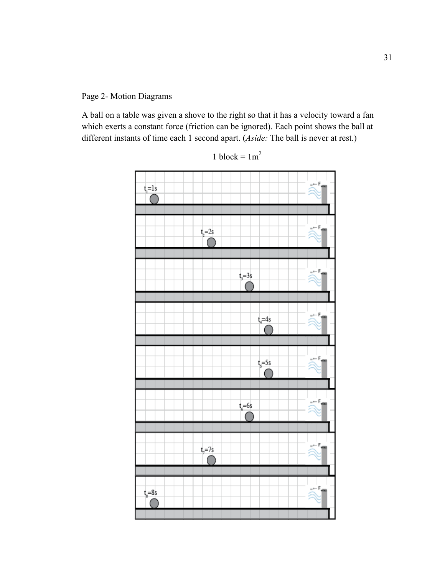Page 2- Motion Diagrams

A ball on a table was given a shove to the right so that it has a velocity toward a fan which exerts a constant force (friction can be ignored). Each point shows the ball at different instants of time each 1 second apart. (*Aside:* The ball is never at rest.)



1 block =  $1 \text{m}^2$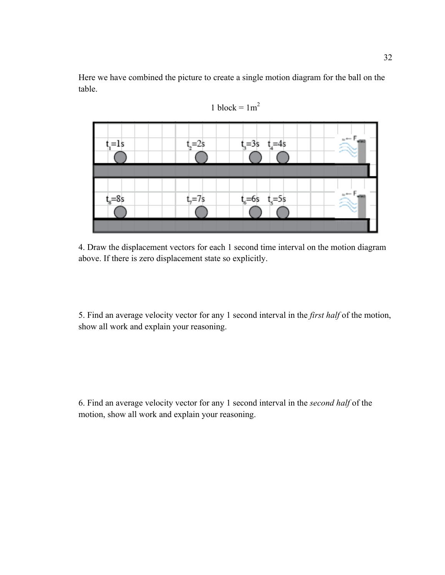Here we have combined the picture to create a single motion diagram for the ball on the table.





4. Draw the displacement vectors for each 1 second time interval on the motion diagram above. If there is zero displacement state so explicitly.

5. Find an average velocity vector for any 1 second interval in the *first half* of the motion, show all work and explain your reasoning.

6. Find an average velocity vector for any 1 second interval in the *second half* of the motion, show all work and explain your reasoning.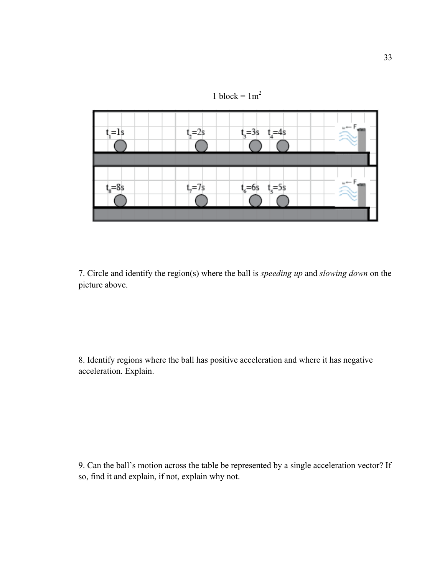



7. Circle and identify the region(s) where the ball is *speeding up* and *slowing down* on the picture above.

8. Identify regions where the ball has positive acceleration and where it has negative acceleration. Explain.

9. Can the ball's motion across the table be represented by a single acceleration vector? If so, find it and explain, if not, explain why not.